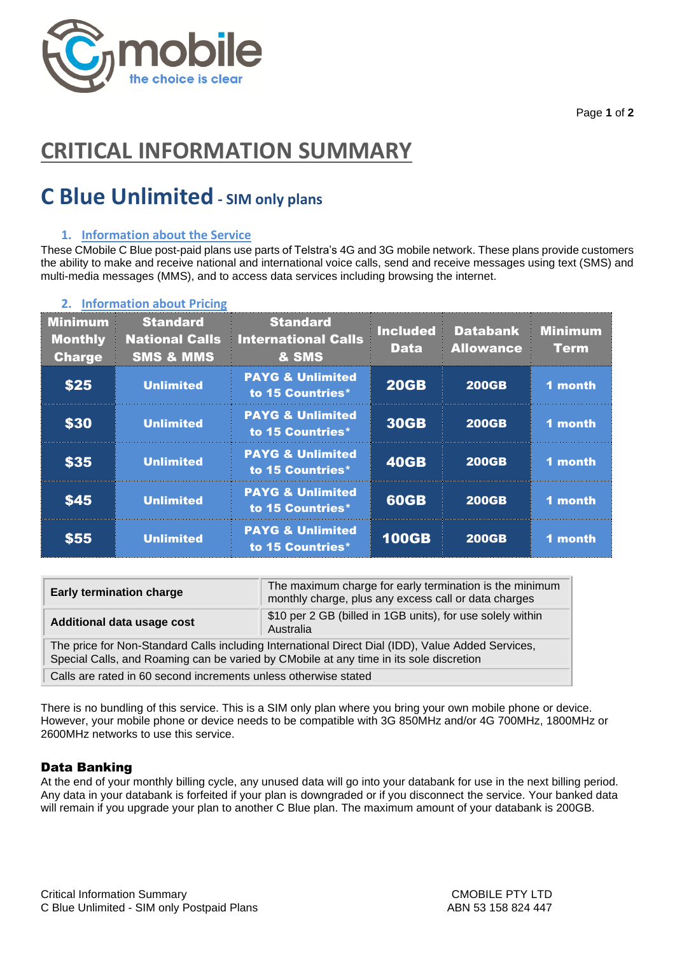

Page **1** of **2**

# **CRITICAL INFORMATION SUMMARY**

# **C Blue Unlimited - SIM only plans**

# **1. Information about the Service**

These CMobile C Blue post-paid plans use parts of Telstra's 4G and 3G mobile network. These plans provide customers the ability to make and receive national and international voice calls, send and receive messages using text (SMS) and multi-media messages (MMS), and to access data services including browsing the internet.

| <b>Minimum</b><br><b>Monthly</b><br><b>Charge</b> | <b>Standard</b><br><b>National Calls</b><br><b>SMS &amp; MMS</b> | <b>Standard</b><br><b>International Calls</b><br>& SMS | <b>Included</b><br><b>Data</b> | <b>Databank</b><br><b>Allowance</b> | <b>Minimum</b><br><b>Term</b> |
|---------------------------------------------------|------------------------------------------------------------------|--------------------------------------------------------|--------------------------------|-------------------------------------|-------------------------------|
| \$25                                              | <b>Unlimited</b>                                                 | <b>PAYG &amp; Unlimited</b><br>to 15 Countries*        | <b>20GB</b>                    | <b>200GB</b>                        | 1 month                       |
| <b>\$30</b>                                       | <b>Unlimited</b>                                                 | <b>PAYG &amp; Unlimited</b><br>to 15 Countries*        | <b>30GB</b>                    | <b>200GB</b>                        | 1 month                       |
| <b>\$35</b>                                       | <b>Unlimited</b>                                                 | <b>PAYG &amp; Unlimited</b><br>to 15 Countries*        | <b>40GB</b>                    | <b>200GB</b>                        | 1 month                       |
| <b>\$45</b>                                       | <b>Unlimited</b>                                                 | <b>PAYG &amp; Unlimited</b><br>to 15 Countries*        | <b>60GB</b>                    | <b>200GB</b>                        | 1 month                       |
| \$55                                              | <b>Unlimited</b>                                                 | <b>PAYG &amp; Unlimited</b><br>to 15 Countries*        | <b>100GB</b>                   | <b>200GB</b>                        | 1 month                       |

### **2. Information about Pricing**

| <b>Early termination charge</b>                                                                                                                                                             | The maximum charge for early termination is the minimum<br>monthly charge, plus any excess call or data charges |  |  |  |
|---------------------------------------------------------------------------------------------------------------------------------------------------------------------------------------------|-----------------------------------------------------------------------------------------------------------------|--|--|--|
| Additional data usage cost                                                                                                                                                                  | \$10 per 2 GB (billed in 1GB units), for use solely within<br>Australia                                         |  |  |  |
| The price for Non-Standard Calls including International Direct Dial (IDD), Value Added Services,<br>Special Calls, and Roaming can be varied by CMobile at any time in its sole discretion |                                                                                                                 |  |  |  |
| Calls are rated in 60 second increments unless otherwise stated                                                                                                                             |                                                                                                                 |  |  |  |

There is no bundling of this service. This is a SIM only plan where you bring your own mobile phone or device. However, your mobile phone or device needs to be compatible with 3G 850MHz and/or 4G 700MHz, 1800MHz or 2600MHz networks to use this service.

# Data Banking

At the end of your monthly billing cycle, any unused data will go into your databank for use in the next billing period. Any data in your databank is forfeited if your plan is downgraded or if you disconnect the service. Your banked data will remain if you upgrade your plan to another C Blue plan. The maximum amount of your databank is 200GB.